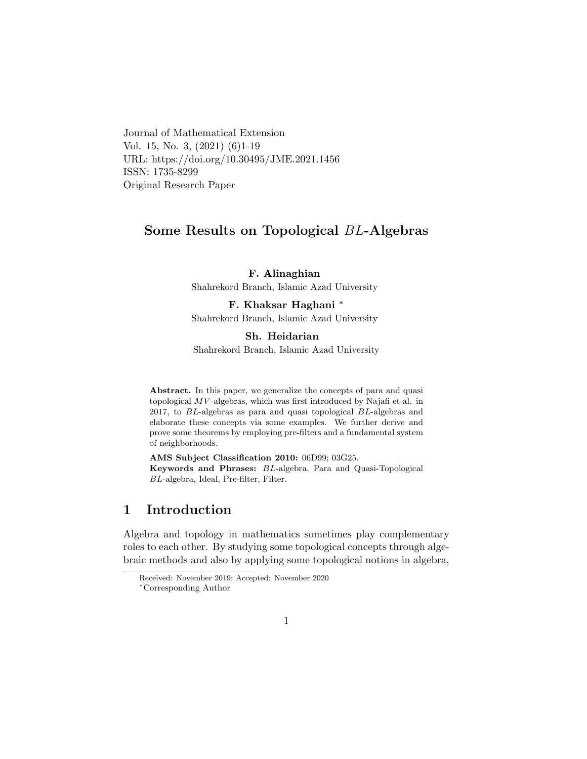Journal of Mathematical Extension Vol. 15, No. 3, (2021) (6)1-19 URL: https://doi.org/10.30495/JME.2021.1456 ISSN: 1735-8299 Original Research Paper

## Some Results on Topological BL-Algebras

F. Alinaghian Shahrekord Branch, Islamic Azad University

F. Khaksar Haghani [∗](#page-0-0) Shahrekord Branch, Islamic Azad University

#### Sh. Heidarian

Shahrekord Branch, Islamic Azad University

Abstract. In this paper, we generalize the concepts of para and quasi topological MV -algebras, which was first introduced by Najafi et al. in 2017, to BL-algebras as para and quasi topological BL-algebras and elaborate these concepts via some examples. We further derive and prove some theorems by employing pre-filters and a fundamental system of neighborhoods.

AMS Subject Classification 2010: 06D99; 03G25. Keywords and Phrases: BL-algebra, Para and Quasi-Topological BL-algebra, Ideal, Pre-filter, Filter.

### 1 Introduction

Algebra and topology in mathematics sometimes play complementary roles to each other. By studying some topological concepts through algebraic methods and also by applying some topological notions in algebra,

Received: November 2019; Accepted: November 2020

<span id="page-0-0"></span><sup>∗</sup>Corresponding Author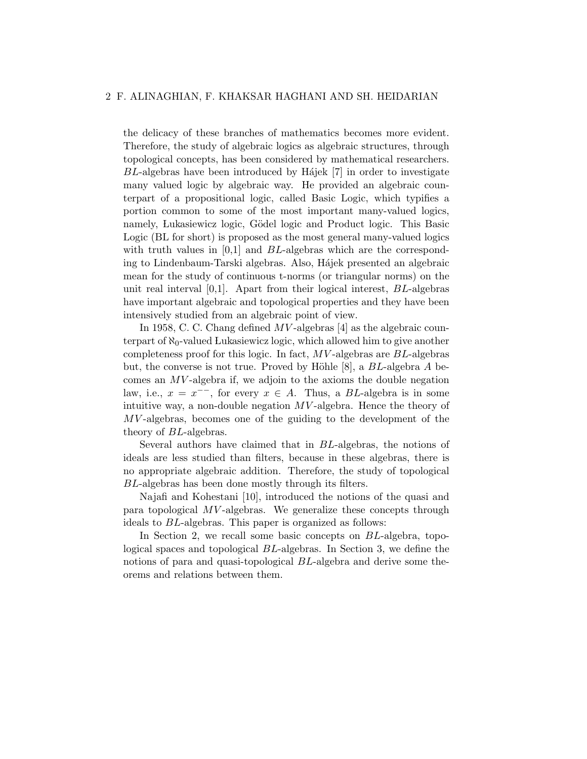#### 2 F. ALINAGHIAN, F. KHAKSAR HAGHANI AND SH. HEIDARIAN

the delicacy of these branches of mathematics becomes more evident. Therefore, the study of algebraic logics as algebraic structures, through topological concepts, has been considered by mathematical researchers.  $BL$ -algebras have been introduced by Hájek  $[7]$  in order to investigate many valued logic by algebraic way. He provided an algebraic counterpart of a propositional logic, called Basic Logic, which typifies a portion common to some of the most important many-valued logics, namely, Lukasiewicz logic, Gödel logic and Product logic. This Basic Logic (BL for short) is proposed as the most general many-valued logics with truth values in  $[0,1]$  and BL-algebras which are the corresponding to Lindenbaum-Tarski algebras. Also, Hájek presented an algebraic mean for the study of continuous t-norms (or triangular norms) on the unit real interval  $[0,1]$ . Apart from their logical interest,  $BL$ -algebras have important algebraic and topological properties and they have been intensively studied from an algebraic point of view.

In 1958, C. C. Chang defined  $MV$ -algebras [4] as the algebraic counterpart of  $\aleph_0$ -valued Lukasiewicz logic, which allowed him to give another completeness proof for this logic. In fact, MV -algebras are BL-algebras but, the converse is not true. Proved by Höhle  $[8]$ , a  $BL$ -algebra A becomes an  $MV$ -algebra if, we adjoin to the axioms the double negation law, i.e.,  $x = x^{-1}$ , for every  $x \in A$ . Thus, a BL-algebra is in some intuitive way, a non-double negation  $MV$ -algebra. Hence the theory of MV -algebras, becomes one of the guiding to the development of the theory of BL-algebras.

Several authors have claimed that in BL-algebras, the notions of ideals are less studied than filters, because in these algebras, there is no appropriate algebraic addition. Therefore, the study of topological BL-algebras has been done mostly through its filters.

Najafi and Kohestani [10], introduced the notions of the quasi and para topological MV -algebras. We generalize these concepts through ideals to BL-algebras. This paper is organized as follows:

In Section 2, we recall some basic concepts on BL-algebra, topological spaces and topological BL-algebras. In Section 3, we define the notions of para and quasi-topological BL-algebra and derive some theorems and relations between them.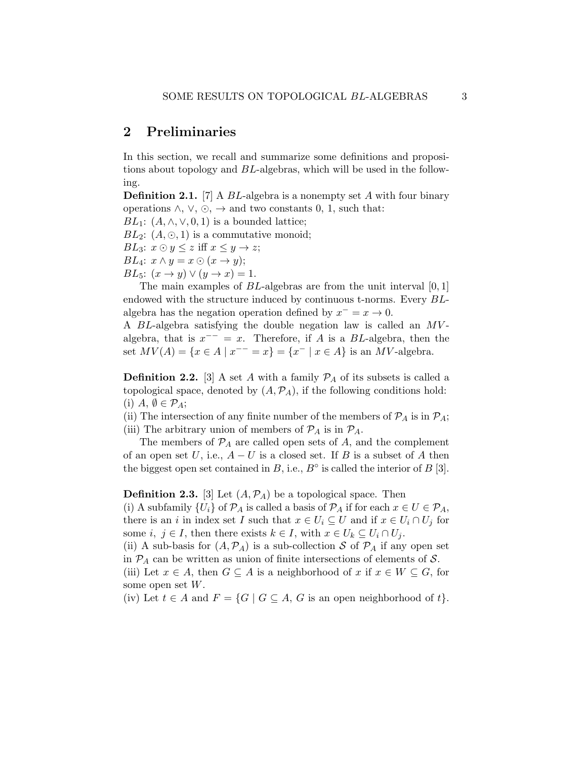### 2 Preliminaries

In this section, we recall and summarize some definitions and propositions about topology and BL-algebras, which will be used in the following.

**Definition 2.1.** [7] A  $BL$ -algebra is a nonempty set A with four binary operations  $\land$ ,  $\lor$ ,  $\odot$ ,  $\rightarrow$  and two constants 0, 1, such that:

BL<sub>1</sub>:  $(A, \wedge, \vee, 0, 1)$  is a bounded lattice;

 $BL_2$ :  $(A, \odot, 1)$  is a commutative monoid;

BL<sub>3</sub>:  $x \odot y \leq z$  iff  $x \leq y \rightarrow z$ ;

 $BL_4$ :  $x \wedge y = x \odot (x \rightarrow y)$ ;

BL<sub>5</sub>:  $(x \rightarrow y) \vee (y \rightarrow x) = 1$ .

The main examples of *BL*-algebras are from the unit interval [0, 1] endowed with the structure induced by continuous t-norms. Every BLalgebra has the negation operation defined by  $x^- = x \to 0$ .

A BL-algebra satisfying the double negation law is called an MV algebra, that is  $x^{--} = x$ . Therefore, if A is a BL-algebra, then the set  $MV(A) = \{x \in A \mid x^{--} = x\} = \{x^- \mid x \in A\}$  is an  $MV$ -algebra.

**Definition 2.2.** [3] A set A with a family  $P_A$  of its subsets is called a topological space, denoted by  $(A, \mathcal{P}_A)$ , if the following conditions hold: (i)  $A, \emptyset \in \mathcal{P}_A;$ 

(ii) The intersection of any finite number of the members of  $\mathcal{P}_A$  is in  $\mathcal{P}_A$ ; (iii) The arbitrary union of members of  $\mathcal{P}_A$  is in  $\mathcal{P}_A$ .

The members of  $P_A$  are called open sets of A, and the complement of an open set U, i.e.,  $A-U$  is a closed set. If B is a subset of A then the biggest open set contained in  $B$ , i.e.,  $B^{\circ}$  is called the interior of  $B$  [3].

**Definition 2.3.** [3] Let  $(A, \mathcal{P}_A)$  be a topological space. Then

(i) A subfamily  $\{U_i\}$  of  $\mathcal{P}_A$  is called a basis of  $\mathcal{P}_A$  if for each  $x \in U \in \mathcal{P}_A$ , there is an i in index set I such that  $x \in U_i \subseteq U$  and if  $x \in U_i \cap U_j$  for some i,  $j \in I$ , then there exists  $k \in I$ , with  $x \in U_k \subseteq U_i \cap U_j$ .

(ii) A sub-basis for  $(A, \mathcal{P}_A)$  is a sub-collection S of  $\mathcal{P}_A$  if any open set in  $P_A$  can be written as union of finite intersections of elements of S.

(iii) Let  $x \in A$ , then  $G \subseteq A$  is a neighborhood of x if  $x \in W \subseteq G$ , for some open set  $W$ .

(iv) Let  $t \in A$  and  $F = \{G \mid G \subseteq A, G$  is an open neighborhood of  $t\}.$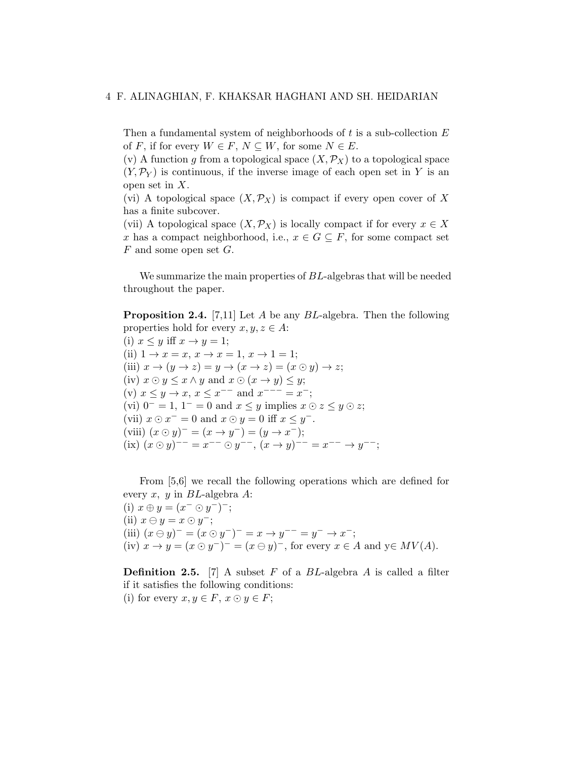Then a fundamental system of neighborhoods of t is a sub-collection  $E$ of F, if for every  $W \in F$ ,  $N \subseteq W$ , for some  $N \in E$ .

(v) A function q from a topological space  $(X, \mathcal{P}_X)$  to a topological space  $(Y, \mathcal{P}_Y)$  is continuous, if the inverse image of each open set in Y is an open set in X.

(vi) A topological space  $(X, \mathcal{P}_X)$  is compact if every open cover of X has a finite subcover.

(vii) A topological space  $(X, \mathcal{P}_X)$  is locally compact if for every  $x \in X$ x has a compact neighborhood, i.e.,  $x \in G \subseteq F$ , for some compact set F and some open set G.

We summarize the main properties of BL-algebras that will be needed throughout the paper.

**Proposition 2.4.** [7,11] Let A be any  $BL$ -algebra. Then the following properties hold for every  $x, y, z \in A$ :

(i)  $x \leq y$  iff  $x \to y = 1$ ; (ii)  $1 \to x = x, x \to x = 1, x \to 1 = 1;$ (iii)  $x \to (y \to z) = y \to (x \to z) = (x \odot y) \to z;$ (iv)  $x \odot y \leq x \land y$  and  $x \odot (x \rightarrow y) \leq y$ ; (v)  $x \leq y \to x, x \leq x^{-1}$  and  $x^{-1} = x^{-}$ ; (vi)  $0^- = 1$ ,  $1^- = 0$  and  $x \leq y$  implies  $x \odot z \leq y \odot z$ ; (vii)  $x \odot x^- = 0$  and  $x \odot y = 0$  iff  $x \leq y^-$ . (viii)  $(x \odot y)^{-} = (x \rightarrow y^{-}) = (y \rightarrow x^{-})$ ; (ix)  $(x \odot y)^{--} = x^{--} \odot y^{--}, (x \rightarrow y)^{--} = x^{--} \rightarrow y^{--};$ 

From [5,6] we recall the following operations which are defined for every x, y in  $BL$ -algebra A:

(i)  $x \oplus y = (x^- \odot y^-)^{-}$ ; (ii)  $x \ominus y = x \odot y^-$ ; (iii)  $(x \ominus y)^{-} = (x \odot y^{-})^{-} = x \rightarrow y^{-} = y^{-} \rightarrow x^{-}$ ; (iv)  $x \to y = (x \odot y^-)^- = (x \ominus y)^-$ , for every  $x \in A$  and  $y \in MV(A)$ .

**Definition 2.5.** [7] A subset F of a  $BL$ -algebra A is called a filter if it satisfies the following conditions: (i) for every  $x, y \in F$ ,  $x \odot y \in F$ ;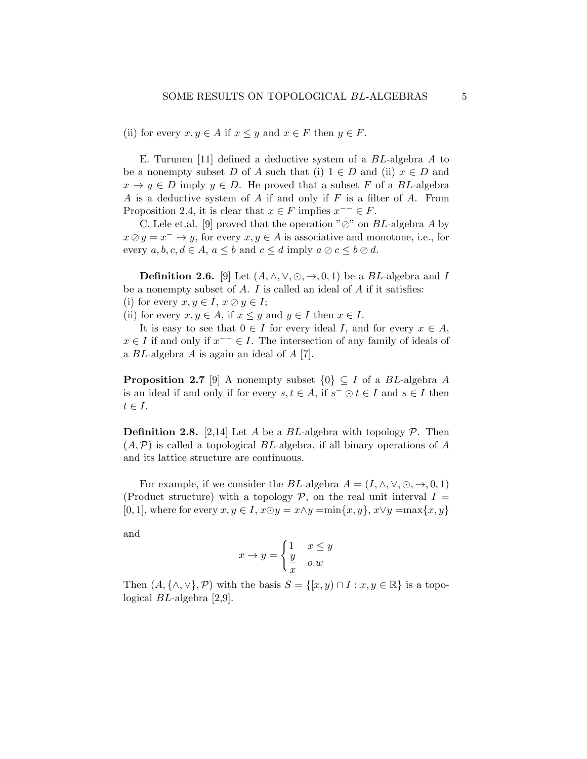(ii) for every  $x, y \in A$  if  $x \leq y$  and  $x \in F$  then  $y \in F$ .

E. Turunen [11] defined a deductive system of a BL-algebra A to be a nonempty subset D of A such that (i)  $1 \in D$  and (ii)  $x \in D$  and  $x \to y \in D$  imply  $y \in D$ . He proved that a subset F of a BL-algebra A is a deductive system of A if and only if  $F$  is a filter of A. From Proposition 2.4, it is clear that  $x \in F$  implies  $x^{--} \in F$ .

C. Lele et.al. [9] proved that the operation " $\oslash$ " on BL-algebra A by  $x \oslash y = x^- \rightarrow y$ , for every  $x, y \in A$  is associative and monotone, i.e., for every  $a, b, c, d \in A$ ,  $a \leq b$  and  $c \leq d$  imply  $a \oslash c \leq b \oslash d$ .

**Definition 2.6.** [9] Let  $(A, \wedge, \vee, \odot, \rightarrow, 0, 1)$  be a *BL*-algebra and *I* be a nonempty subset of  $A$ .  $I$  is called an ideal of  $A$  if it satisfies: (i) for every  $x, y \in I$ ,  $x \oslash y \in I$ ;

(ii) for every  $x, y \in A$ , if  $x \leq y$  and  $y \in I$  then  $x \in I$ .

It is easy to see that  $0 \in I$  for every ideal I, and for every  $x \in A$ ,  $x \in I$  if and only if  $x^{--} \in I$ . The intersection of any family of ideals of a BL-algebra A is again an ideal of A [7].

**Proposition 2.7** [9] A nonempty subset  $\{0\} \subseteq I$  of a BL-algebra A is an ideal if and only if for every  $s, t \in A$ , if  $s^- \odot t \in I$  and  $s \in I$  then  $t \in I$ .

**Definition 2.8.** [2,14] Let A be a BL-algebra with topology  $P$ . Then  $(A, \mathcal{P})$  is called a topological BL-algebra, if all binary operations of A and its lattice structure are continuous.

For example, if we consider the BL-algebra  $A = (I, \wedge, \vee, \odot, \rightarrow, 0, 1)$ (Product structure) with a topology  $P$ , on the real unit interval  $I =$ [0, 1], where for every  $x, y \in I$ ,  $x \odot y = x \land y = \min\{x, y\}$ ,  $x \lor y = \max\{x, y\}$ 

and

$$
x \to y = \begin{cases} 1 & x \le y \\ \frac{y}{x} & o.w \end{cases}
$$

Then  $(A, \{\wedge, \vee\}, \mathcal{P})$  with the basis  $S = \{[x, y) \cap I : x, y \in \mathbb{R}\}\$ is a topological BL-algebra [2,9].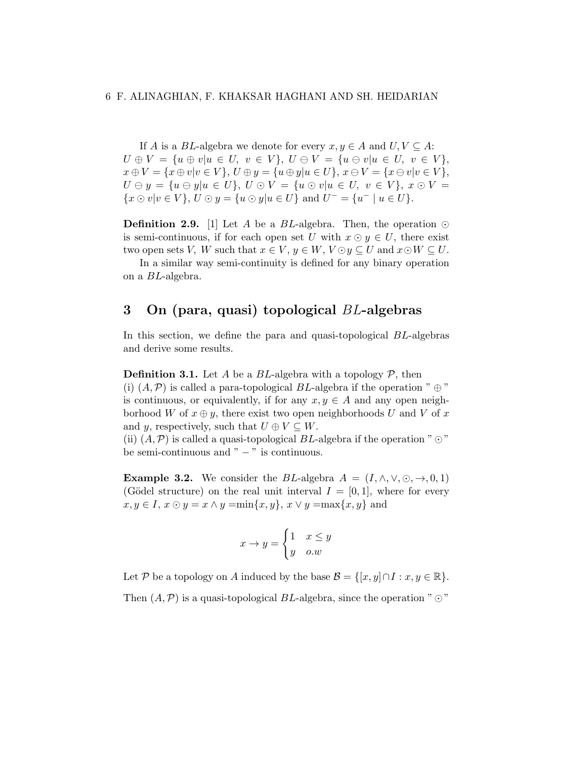If A is a BL-algebra we denote for every  $x, y \in A$  and  $U, V \subseteq A$ :  $U \oplus V = \{u \oplus v | u \in U, v \in V\}, U \oplus V = \{u \oplus v | u \in U, v \in V\},\$  $x \oplus V = \{x \oplus v | v \in V\}, U \oplus y = \{u \oplus y | u \in U\}, x \ominus V = \{x \ominus v | v \in V\},\$  $U \ominus y = \{u \ominus y | u \in U\}, U \odot V = \{u \odot v | u \in U, v \in V\}, x \odot V =$  $\{x \odot v | v \in V\}, U \odot y = \{u \odot y | u \in U\}$  and  $U^- = \{u^- | u \in U\}.$ 

**Definition 2.9.** [1] Let A be a BL-algebra. Then, the operation  $\odot$ is semi-continuous, if for each open set U with  $x \odot y \in U$ , there exist two open sets V, W such that  $x \in V$ ,  $y \in W$ ,  $V \odot y \subseteq U$  and  $x \odot W \subseteq U$ .

In a similar way semi-continuity is defined for any binary operation on a BL-algebra.

## 3 On (para, quasi) topological BL-algebras

In this section, we define the para and quasi-topological BL-algebras and derive some results.

**Definition 3.1.** Let A be a BL-algebra with a topology  $P$ , then (i)  $(A, \mathcal{P})$  is called a para-topological BL-algebra if the operation "  $\oplus$  " is continuous, or equivalently, if for any  $x, y \in A$  and any open neighborhood W of  $x \oplus y$ , there exist two open neighborhoods U and V of x and y, respectively, such that  $U \oplus V \subseteq W$ .

(ii)  $(A, \mathcal{P})$  is called a quasi-topological BL-algebra if the operation " $\odot$ " be semi-continuous and " − " is continuous.

**Example 3.2.** We consider the BL-algebra  $A = (I, \wedge, \vee, \odot, \rightarrow, 0, 1)$ (Gödel structure) on the real unit interval  $I = [0, 1]$ , where for every  $x, y \in I$ ,  $x \odot y = x \land y = \min\{x, y\}$ ,  $x \lor y = \max\{x, y\}$  and

$$
x \to y = \begin{cases} 1 & x \le y \\ y & o.w \end{cases}
$$

Let P be a topology on A induced by the base  $\mathcal{B} = \{[x, y] \cap I : x, y \in \mathbb{R}\}.$ 

Then  $(A, \mathcal{P})$  is a quasi-topological BL-algebra, since the operation " $\odot$ "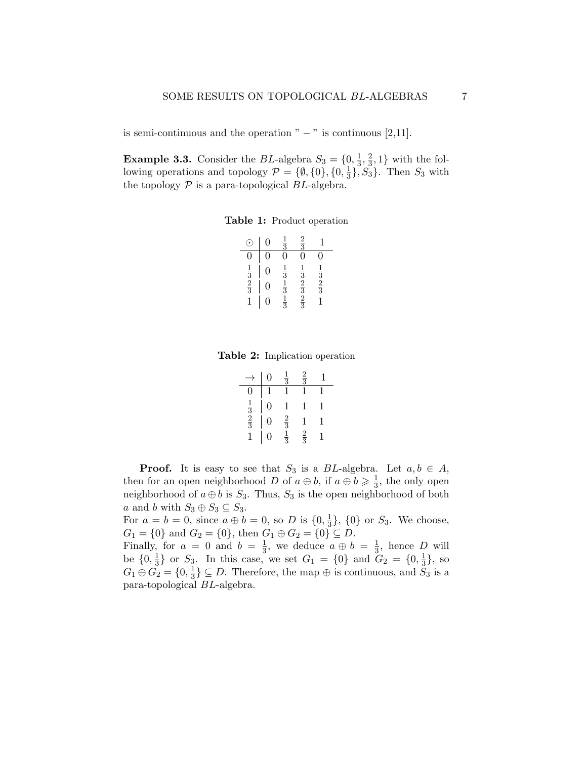is semi-continuous and the operation " $-$ " is continuous [2,11].

**Example 3.3.** Consider the BL-algebra  $S_3 = \{0, \frac{1}{3}\}$  $\frac{1}{3}, \frac{2}{3}$  $\frac{2}{3}$ , 1} with the following operations and topology  $\mathcal{P} = \{\emptyset, \{0\}, \{0, \frac{1}{3}\}\$  $\frac{1}{3}$ ,  $S_3$ . Then  $S_3$  with the topology  $P$  is a para-topological BL-algebra.

Table 1: Product operation

|                             |   | $\frac{1}{3}$                             | $\frac{2}{3}$                             |                             |
|-----------------------------|---|-------------------------------------------|-------------------------------------------|-----------------------------|
|                             |   |                                           |                                           | 0                           |
|                             | 0 |                                           |                                           |                             |
| $\frac{1}{3}$ $\frac{2}{3}$ | 0 | $\frac{1}{3}$ $\frac{1}{3}$ $\frac{1}{3}$ | $\frac{1}{3}$ $\frac{2}{3}$ $\frac{2}{3}$ | $\frac{1}{3}$ $\frac{2}{3}$ |
|                             |   |                                           |                                           |                             |

Table 2: Implication operation

|                             | Ō              | $\frac{1}{3}$               | $\frac{2}{3}$ |   |
|-----------------------------|----------------|-----------------------------|---------------|---|
|                             | $\mathbf{1}$   | $\mathbf{1}$                |               |   |
|                             | $\overline{0}$ |                             | ı             | 1 |
| $\frac{1}{3}$ $\frac{2}{3}$ | $\overline{0}$ | $\frac{2}{3}$ $\frac{1}{3}$ | $\mathbf{1}$  | 1 |
|                             | $\overline{0}$ |                             | $\frac{2}{3}$ |   |

**Proof.** It is easy to see that  $S_3$  is a BL-algebra. Let  $a, b \in A$ , then for an open neighborhood D of  $a \oplus b$ , if  $a \oplus b \geqslant \frac{1}{3}$  $\frac{1}{3}$ , the only open neighborhood of  $a \oplus b$  is  $S_3$ . Thus,  $S_3$  is the open neighborhood of both a and b with  $S_3 \oplus S_3 \subseteq S_3$ .

For  $a = b = 0$ , since  $a \oplus b = 0$ , so D is  $\{0, \frac{1}{3}\}$  $\frac{1}{3}$ ,  $\{0\}$  or  $S_3$ . We choose,  $G_1 = \{0\}$  and  $G_2 = \{0\}$ , then  $G_1 \oplus G_2 = \{0\} \subseteq D$ .

Finally, for  $a = 0$  and  $b = \frac{1}{3}$  $\frac{1}{3}$ , we deduce  $a \oplus b = \frac{1}{3}$  $\frac{1}{3}$ , hence D will be  $\{0, \frac{1}{3}$  $\frac{1}{3}$  or  $S_3$ . In this case, we set  $G_1 = \{0\}$  and  $G_2 = \{0, \frac{1}{3}\}$  $\frac{1}{3}$ , so  $G_1\oplus \tilde{G_2}=\{0,\frac{1}{3}$  $\frac{1}{3}$ }  $\subseteq$  *D*. Therefore, the map  $\oplus$  is continuous, and  $S_3$  is a para-topological BL-algebra.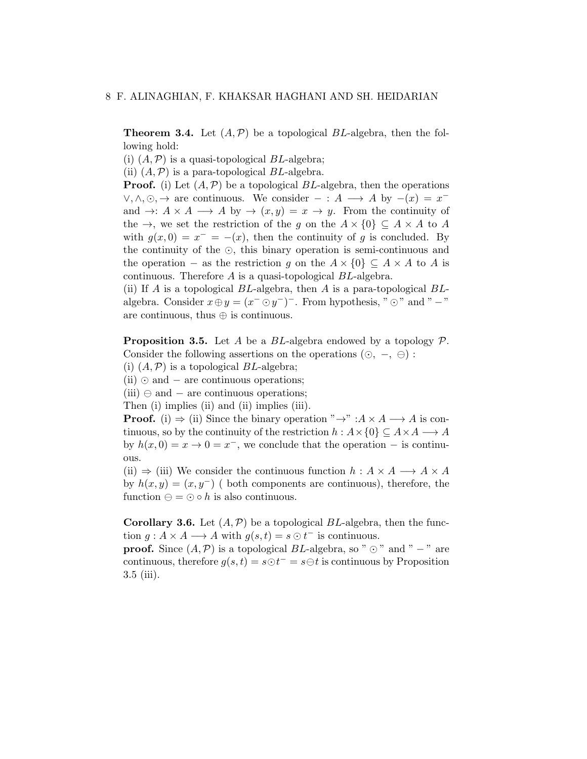**Theorem 3.4.** Let  $(A, \mathcal{P})$  be a topological BL-algebra, then the following hold:

(i)  $(A, \mathcal{P})$  is a quasi-topological BL-algebra;

(ii)  $(A, \mathcal{P})$  is a para-topological BL-algebra.

**Proof.** (i) Let  $(A, \mathcal{P})$  be a topological BL-algebra, then the operations  $\vee, \wedge, \odot, \rightarrow$  are continuous. We consider  $- : A \longrightarrow A$  by  $-(x) = x^{-}$ and  $\rightarrow: A \times A \longrightarrow A$  by  $\rightarrow (x, y) = x \rightarrow y$ . From the continuity of the  $\rightarrow$ , we set the restriction of the g on the  $A \times \{0\} \subseteq A \times A$  to A with  $g(x, 0) = x^- = -(x)$ , then the continuity of g is concluded. By the continuity of the  $\odot$ , this binary operation is semi-continuous and the operation – as the restriction g on the  $A \times \{0\} \subseteq A \times A$  to A is continuous. Therefore  $A$  is a quasi-topological  $BL$ -algebra.

(ii) If A is a topological  $BL$ -algebra, then A is a para-topological  $BL$ algebra. Consider  $x \oplus y = (x^- \odot y^-)^-$ . From hypothesis, " $\odot$ " and " -" are continuous, thus ⊕ is continuous.

**Proposition 3.5.** Let A be a BL-algebra endowed by a topology  $\mathcal{P}$ . Consider the following assertions on the operations  $( \odot, -, \ominus)$ :

(i)  $(A, \mathcal{P})$  is a topological BL-algebra;

 $(ii)$  ⊙ and – are continuous operations;

(iii)  $\ominus$  and – are continuous operations;

Then (i) implies (ii) and (ii) implies (iii).

**Proof.** (i)  $\Rightarrow$  (ii) Since the binary operation " $\rightarrow$ " :  $A \times A \rightarrow A$  is continuous, so by the continuity of the restriction  $h : A \times \{0\} \subseteq A \times A \longrightarrow A$ by  $h(x, 0) = x \rightarrow 0 = x^{-}$ , we conclude that the operation – is continuous.

(ii)  $\Rightarrow$  (iii) We consider the continuous function  $h : A \times A \longrightarrow A \times A$ by  $h(x, y) = (x, y<sup>-</sup>)$  (both components are continuous), therefore, the function  $\ominus = \odot \circ h$  is also continuous.

**Corollary 3.6.** Let  $(A, \mathcal{P})$  be a topological BL-algebra, then the function  $g: A \times A \longrightarrow A$  with  $g(s,t) = s \odot t^-$  is continuous.

**proof.** Since  $(A, \mathcal{P})$  is a topological BL-algebra, so " $\odot$ " and " − " are continuous, therefore  $g(s,t) = s \odot t^- = s \ominus t$  is continuous by Proposition 3.5 (iii).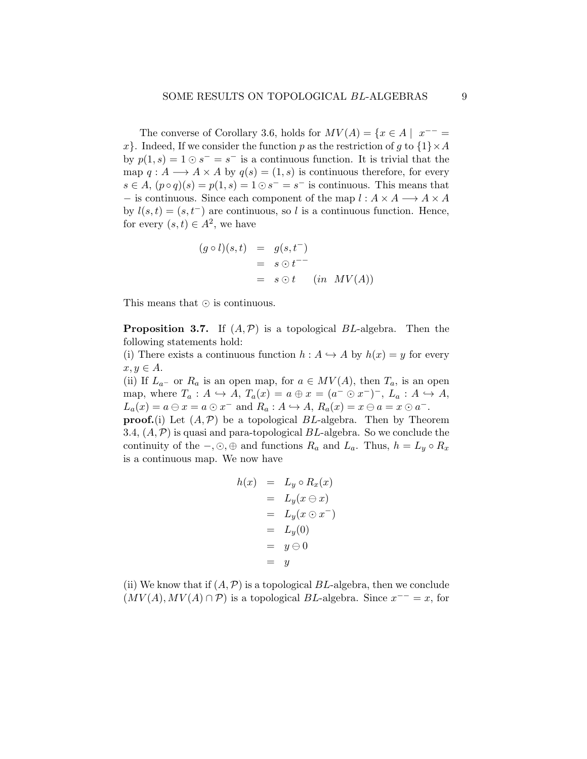The converse of Corollary 3.6, holds for  $MV(A) = \{x \in A \mid x^{-1} =$ x. Indeed, If we consider the function p as the restriction of g to  $\{1\} \times A$ by  $p(1, s) = 1 \odot s^- = s^-$  is a continuous function. It is trivial that the map  $q: A \longrightarrow A \times A$  by  $q(s) = (1, s)$  is continuous therefore, for every  $s \in A$ ,  $(p \circ q)(s) = p(1, s) = 1 \odot s^{-} = s^{-}$  is continuous. This means that − is continuous. Since each component of the map  $l : A \times A \longrightarrow A \times A$ by  $l(s,t) = (s, t^-)$  are continuous, so l is a continuous function. Hence, for every  $(s,t) \in A^2$ , we have

$$
(g \circ l)(s,t) = g(s,t^{-})
$$
  
=  $s \odot t^{--}$   
=  $s \odot t$  (in MV(A))

This means that  $\odot$  is continuous.

**Proposition 3.7.** If  $(A, \mathcal{P})$  is a topological BL-algebra. Then the following statements hold:

(i) There exists a continuous function  $h : A \hookrightarrow A$  by  $h(x) = y$  for every  $x, y \in A$ .

(ii) If  $L_{a^-}$  or  $R_a$  is an open map, for  $a \in MV(A)$ , then  $T_a$ , is an open map, where  $T_a: A \hookrightarrow A$ ,  $T_a(x) = a \oplus x = (a^- \odot x^-)^{-}$ ,  $L_a: A \hookrightarrow A$ ,  $L_a(x) = a \ominus x = a \odot x^-$  and  $R_a: A \hookrightarrow A$ ,  $R_a(x) = x \ominus a = x \odot a^-$ . **proof.**(i) Let  $(A, \mathcal{P})$  be a topological BL-algebra. Then by Theorem

3.4,  $(A, \mathcal{P})$  is quasi and para-topological BL-algebra. So we conclude the continuity of the  $-, \odot, \oplus$  and functions  $R_a$  and  $L_a$ . Thus,  $h = L_y \circ R_x$ is a continuous map. We now have

$$
h(x) = L_y \circ R_x(x)
$$
  
=  $L_y(x \ominus x)$   
=  $L_y(x \odot x^-)$   
=  $L_y(0)$   
=  $y \ominus 0$   
=  $y$ 

(ii) We know that if  $(A, \mathcal{P})$  is a topological BL-algebra, then we conclude  $(MV(A), MV(A) \cap P)$  is a topological BL-algebra. Since  $x^{--} = x$ , for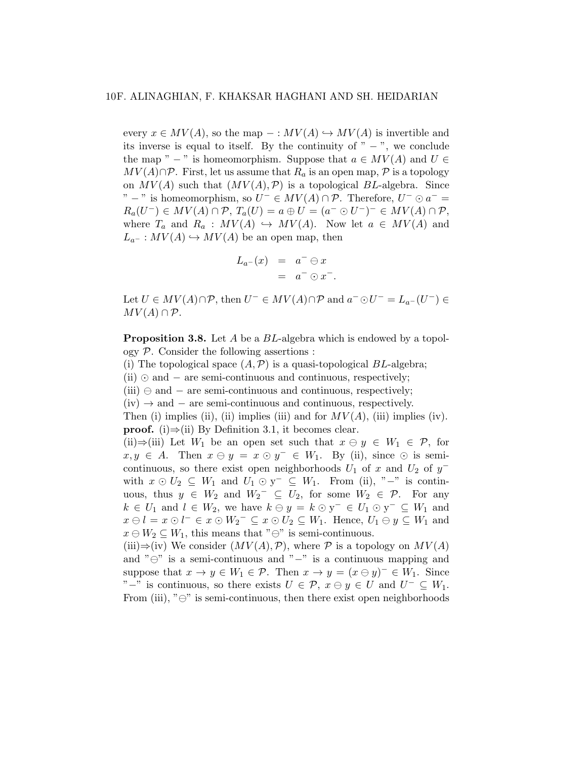every  $x \in MV(A)$ , so the map  $- : MV(A) \hookrightarrow MV(A)$  is invertible and its inverse is equal to itself. By the continuity of " $-$ ", we conclude the map "  $-$  " is homeomorphism. Suppose that  $a \in MV(A)$  and  $U \in$  $MV(A) \cap \mathcal{P}$ . First, let us assume that  $R_a$  is an open map,  $\mathcal P$  is a topology on  $MV(A)$  such that  $(MV(A), \mathcal{P})$  is a topological BL-algebra. Since " – " is homeomorphism, so  $U^- \in MV(A) \cap \mathcal{P}$ . Therefore,  $U^- \odot a^-$  =  $R_a(U^-) \in MV(A) \cap \mathcal{P}, T_a(U) = a \oplus U = (a^- \odot U^-)^- \in MV(A) \cap \mathcal{P},$ where  $T_a$  and  $R_a : MV(A) \hookrightarrow MV(A)$ . Now let  $a \in MV(A)$  and  $L_{a^-}: MV(A) \hookrightarrow MV(A)$  be an open map, then

$$
L_{a-}(x) = a^{-} \ominus x
$$
  
=  $a^{-} \odot x^{-}$ .

Let  $U \in MV(A) \cap \mathcal{P}$ , then  $U^- \in MV(A) \cap \mathcal{P}$  and  $a^- \odot U^- = L_{a^-}(U^-) \in$  $MV(A) \cap P$ .

**Proposition 3.8.** Let A be a BL-algebra which is endowed by a topology  $P$ . Consider the following assertions :

(i) The topological space  $(A, \mathcal{P})$  is a quasi-topological BL-algebra;

(ii)  $\odot$  and − are semi-continuous and continuous, respectively;

(iii)  $\ominus$  and – are semi-continuous and continuous, respectively;

 $(iv) \rightarrow and - are semi-continuous and continuous, respectively.$ 

Then (i) implies (ii), (ii) implies (iii) and for  $MV(A)$ , (iii) implies (iv). **proof.** (i)⇒(ii) By Definition 3.1, it becomes clear.

(ii)⇒(iii) Let  $W_1$  be an open set such that  $x \ominus y \in W_1 \in \mathcal{P}$ , for  $x, y \in A$ . Then  $x \ominus y = x \odot y^- \in W_1$ . By (ii), since  $\odot$  is semicontinuous, so there exist open neighborhoods  $U_1$  of x and  $U_2$  of  $y^$ with  $x \odot U_2 \subseteq W_1$  and  $U_1 \odot y^- \subseteq W_1$ . From (ii), "-" is continuous, thus  $y \in W_2$  and  $W_2^- \subseteq U_2$ , for some  $W_2 \in \mathcal{P}$ . For any  $k \in U_1$  and  $l \in W_2$ , we have  $k \ominus y = k \odot y^- \in U_1 \odot y^- \subseteq W_1$  and  $x \ominus l = x \ominus l^{-} \in x \ominus W_2^{-} \subseteq x \ominus U_2 \subseteq W_1$ . Hence,  $U_1 \ominus y \subseteq W_1$  and  $x \in W_2 \subseteq W_1$ , this means that " $\ominus$ " is semi-continuous.

(iii)⇒(iv) We consider  $(MV(A), \mathcal{P})$ , where  $\mathcal P$  is a topology on  $MV(A)$ and " $\oplus$ " is a semi-continuous and "−" is a continuous mapping and suppose that  $x \to y \in W_1 \in \mathcal{P}$ . Then  $x \to y = (x \ominus y)^- \in W_1$ . Since "-" is continuous, so there exists  $U \in \mathcal{P}$ ,  $x \ominus y \in U$  and  $U^{-} \subseteq W_1$ . From (iii), " $\ominus$ " is semi-continuous, then there exist open neighborhoods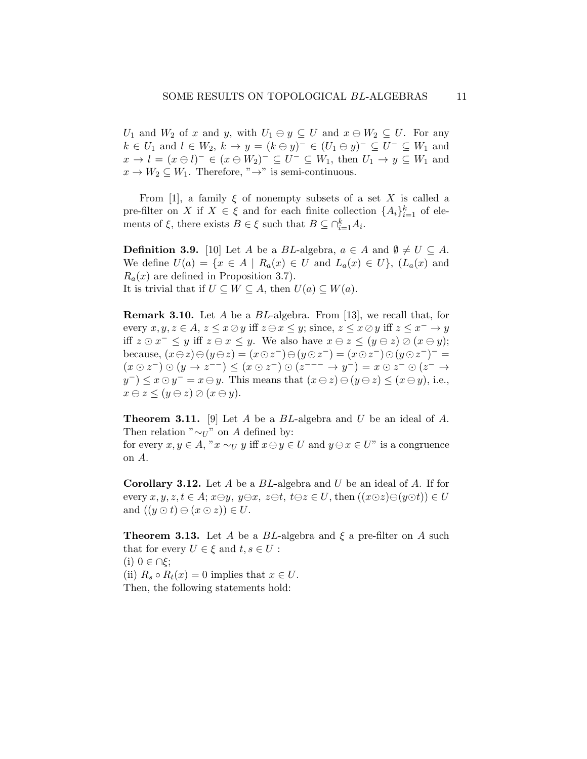$U_1$  and  $W_2$  of x and y, with  $U_1 \ominus y \subseteq U$  and  $x \ominus W_2 \subseteq U$ . For any  $k \in U_1$  and  $l \in W_2$ ,  $k \to y = (k \ominus y)^- \in (U_1 \ominus y)^- \subseteq U^- \subseteq W_1$  and  $x \to l = (x \ominus l)^- \in (x \ominus W_2)^- \subseteq U^- \subseteq W_1$ , then  $U_1 \to y \subseteq W_1$  and  $x \to W_2 \subseteq W_1$ . Therefore, " $\to$ " is semi-continuous.

From [1], a family  $\xi$  of nonempty subsets of a set X is called a pre-filter on X if  $X \in \xi$  and for each finite collection  $\{A_i\}_{i=1}^k$  of elements of  $\xi$ , there exists  $B \in \xi$  such that  $B \subseteq \bigcap_{i=1}^k A_i$ .

**Definition 3.9.** [10] Let A be a BL-algebra,  $a \in A$  and  $\emptyset \neq U \subseteq A$ . We define  $U(a) = \{x \in A \mid R_a(x) \in U \text{ and } L_a(x) \in U\}, (L_a(x) \text{ and } L_a(x))$  $R_a(x)$  are defined in Proposition 3.7). It is trivial that if  $U \subseteq W \subseteq A$ , then  $U(a) \subseteq W(a)$ .

**Remark 3.10.** Let A be a  $BL$ -algebra. From [13], we recall that, for every  $x, y, z \in A$ ,  $z \leq x \oslash y$  iff  $z \ominus x \leq y$ ; since,  $z \leq x \oslash y$  iff  $z \leq x^{-} \rightarrow y$ iff  $z \odot x^- \leq y$  iff  $z \ominus x \leq y$ . We also have  $x \ominus z \leq (y \ominus z) \oslash (x \ominus y)$ ; because,  $(x \ominus z) \ominus (y \ominus z) = (x \odot z^-) \ominus (y \odot z^-) = (x \odot z^-) \odot (y \odot z^-)^{-} =$  $(x \odot z^-) \odot (y \rightarrow z^{--}) \leq (x \odot z^-) \odot (z^{---} \rightarrow y^-) = x \odot z^- \odot (z^- \rightarrow z^-)$  $y^{-}$ )  $\leq x \odot y^{-} = x \ominus y$ . This means that  $(x \ominus z) \ominus (y \ominus z) \leq (x \ominus y)$ , i.e.,  $x \ominus z \leq (y \ominus z) \oslash (x \ominus y).$ 

**Theorem 3.11.** [9] Let A be a  $BL$ -algebra and U be an ideal of A. Then relation " $\sim_U$ " on A defined by:

for every  $x, y \in A$ , " $x \sim_U y$  iff  $x \ominus y \in U$  and  $y \ominus x \in U$ " is a congruence on A.

**Corollary 3.12.** Let  $A$  be a  $BL$ -algebra and  $U$  be an ideal of  $A$ . If for every  $x, y, z, t \in A$ ;  $x \ominus y, y \ominus x, z \ominus t, t \ominus z \in U$ , then  $((x \odot z) \ominus (y \odot t)) \in U$ and  $((y \odot t) \ominus (x \odot z)) \in U$ .

**Theorem 3.13.** Let A be a BL-algebra and  $\xi$  a pre-filter on A such that for every  $U \in \xi$  and  $t, s \in U$ : (i)  $0 \in \bigcap \xi$ ; (ii)  $R_s \circ R_t(x) = 0$  implies that  $x \in U$ . Then, the following statements hold: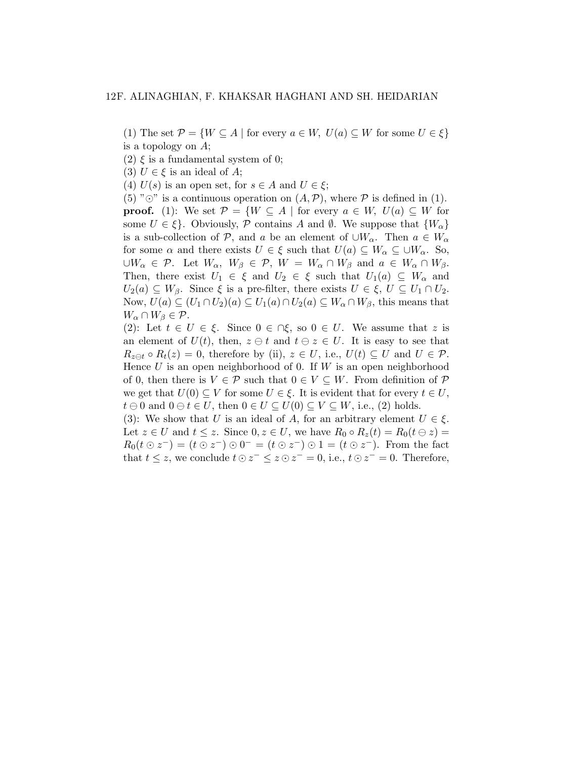(1) The set  $\mathcal{P} = \{W \subseteq A \mid \text{for every } a \in W, U(a) \subseteq W \text{ for some } U \in \xi\}$ is a topology on A;

(2)  $\xi$  is a fundamental system of 0;

(3)  $U \in \xi$  is an ideal of A;

(4)  $U(s)$  is an open set, for  $s \in A$  and  $U \in \xi$ ;

(5) " $\odot$ " is a continuous operation on  $(A, \mathcal{P})$ , where  $\mathcal P$  is defined in (1). **proof.** (1): We set  $\mathcal{P} = \{W \subseteq A \mid \text{for every } a \in W, U(a) \subseteq W \text{ for }$ some  $U \in \{\}$ . Obviously, P contains A and Ø. We suppose that  $\{W_{\alpha}\}$ is a sub-collection of P, and a be an element of  $\cup W_\alpha$ . Then  $a \in W_\alpha$ for some  $\alpha$  and there exists  $U \in \xi$  such that  $U(a) \subseteq W_{\alpha} \subseteq \bigcup W_{\alpha}$ . So,  $\cup W_\alpha \in \mathcal{P}$ . Let  $W_\alpha$ ,  $W_\beta \in \mathcal{P}$ ,  $W = W_\alpha \cap W_\beta$  and  $a \in W_\alpha \cap W_\beta$ . Then, there exist  $U_1 \in \xi$  and  $U_2 \in \xi$  such that  $U_1(a) \subseteq W_\alpha$  and  $U_2(a) \subseteq W_\beta$ . Since  $\xi$  is a pre-filter, there exists  $U \in \xi$ ,  $U \subseteq U_1 \cap U_2$ . Now,  $U(a) \subseteq (U_1 \cap U_2)(a) \subseteq U_1(a) \cap U_2(a) \subseteq W_\alpha \cap W_\beta$ , this means that  $W_{\alpha} \cap W_{\beta} \in \mathcal{P}.$ 

(2): Let  $t \in U \in \xi$ . Since  $0 \in \bigcap \xi$ , so  $0 \in U$ . We assume that z is an element of  $U(t)$ , then,  $z \ominus t$  and  $t \ominus z \in U$ . It is easy to see that  $R_{z \in t} \circ R_t(z) = 0$ , therefore by (ii),  $z \in U$ , i.e.,  $U(t) \subseteq U$  and  $U \in \mathcal{P}$ . Hence  $U$  is an open neighborhood of 0. If  $W$  is an open neighborhood of 0, then there is  $V \in \mathcal{P}$  such that  $0 \in V \subseteq W$ . From definition of  $\mathcal{P}$ we get that  $U(0) \subseteq V$  for some  $U \in \xi$ . It is evident that for every  $t \in U$ ,  $t \ominus 0$  and  $0 \ominus t \in U$ , then  $0 \in U \subseteq U(0) \subseteq V \subseteq W$ , i.e., (2) holds.

(3): We show that U is an ideal of A, for an arbitrary element  $U \in \mathcal{E}$ . Let  $z \in U$  and  $t \leq z$ . Since  $0, z \in U$ , we have  $R_0 \circ R_z(t) = R_0(t \ominus z)$  $R_0(t \odot z^-) = (t \odot z^-) \odot 0^- = (t \odot z^-) \odot 1 = (t \odot z^-).$  From the fact that  $t \leq z$ , we conclude  $t \odot z^- \leq z \odot z^- = 0$ , i.e.,  $t \odot z^- = 0$ . Therefore,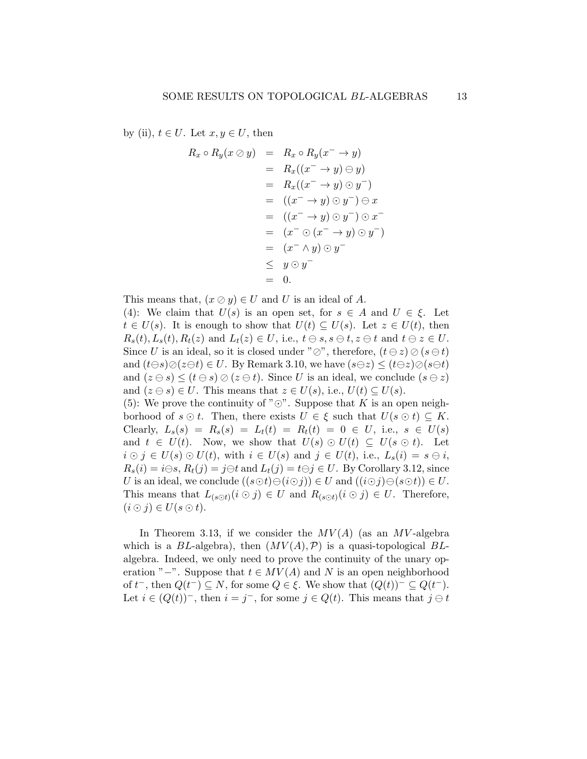by (ii),  $t \in U$ . Let  $x, y \in U$ , then

$$
R_x \circ R_y(x \oslash y) = R_x \circ R_y(x^- \rightarrow y)
$$
  
=  $R_x((x^- \rightarrow y) \ominus y)$   
=  $R_x((x^- \rightarrow y) \odot y^-)$   
=  $((x^- \rightarrow y) \odot y^-) \ominus x$   
=  $((x^- \rightarrow y) \odot y^-) \odot x^-$   
=  $(x^- \odot (x^- \rightarrow y) \odot y^-)$   
=  $(x^- \wedge y) \odot y^-$   
 $\leq y \odot y^-$   
= 0.

This means that,  $(x \oslash y) \in U$  and U is an ideal of A.

(4): We claim that  $U(s)$  is an open set, for  $s \in A$  and  $U \in \xi$ . Let  $t \in U(s)$ . It is enough to show that  $U(t) \subseteq U(s)$ . Let  $z \in U(t)$ , then  $R_s(t), L_s(t), R_t(z)$  and  $L_t(z) \in U$ , i.e.,  $t \ominus s, s \ominus t, z \ominus t$  and  $t \ominus z \in U$ . Since U is an ideal, so it is closed under " $\oslash$ ", therefore,  $(t \ominus z) \oslash (s \ominus t)$ and  $(t\ominus s)\oslash(z\ominus t)\in U$ . By Remark 3.10, we have  $(s\ominus z)\leq (t\ominus z)\oslash (s\ominus t)$ and  $(z \ominus s) \le (t \ominus s) \oslash (z \ominus t)$ . Since U is an ideal, we conclude  $(s \ominus z)$ and  $(z \ominus s) \in U$ . This means that  $z \in U(s)$ , i.e.,  $U(t) \subseteq U(s)$ .

(5): We prove the continuity of " $\odot$ ". Suppose that K is an open neighborhood of  $s \odot t$ . Then, there exists  $U \in \xi$  such that  $U(s \odot t) \subseteq K$ . Clearly,  $L_s(s) = R_s(s) = L_t(t) = R_t(t) = 0 \in U$ , i.e.,  $s \in U(s)$ and  $t \in U(t)$ . Now, we show that  $U(s) \odot U(t) \subseteq U(s \odot t)$ . Let  $i \odot j \in U(s) \odot U(t)$ , with  $i \in U(s)$  and  $j \in U(t)$ , i.e.,  $L_s(i) = s \ominus i$ ,  $R_s(i) = i \ominus s$ ,  $R_t(j) = j \ominus t$  and  $L_t(j) = t \ominus j \in U$ . By Corollary 3.12, since U is an ideal, we conclude  $((s \odot t) \ominus (i \odot j)) \in U$  and  $((i \odot j) \ominus (s \odot t)) \in U$ . This means that  $L_{(s\odot t)}(i\odot j) \in U$  and  $R_{(s\odot t)}(i\odot j) \in U$ . Therefore,  $(i \odot j) \in U(s \odot t).$ 

In Theorem 3.13, if we consider the  $MV(A)$  (as an MV-algebra which is a  $BL$ -algebra), then  $(MV(A), P)$  is a quasi-topological BLalgebra. Indeed, we only need to prove the continuity of the unary operation "−". Suppose that  $t \in MV(A)$  and N is an open neighborhood of  $t^-$ , then  $Q(t^-) \subseteq N$ , for some  $Q \in \xi$ . We show that  $(Q(t))^{-} \subseteq Q(t^-)$ . Let  $i \in (Q(t))^-$ , then  $i = j^-$ , for some  $j \in Q(t)$ . This means that  $j \ominus t$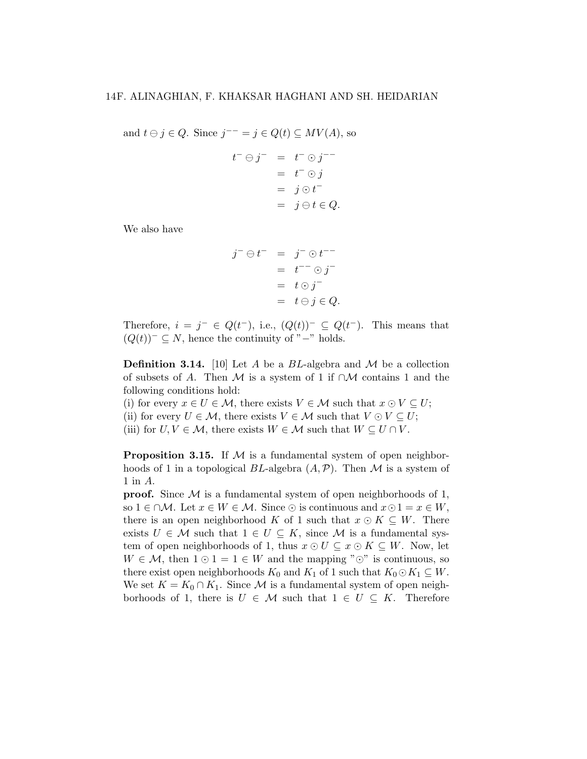and  $t \ominus j \in Q$ . Since  $j^{--} = j \in Q(t) \subseteq MV(A)$ , so

$$
t^- \ominus j^- = t^- \odot j^{--}
$$
  
=  $t^- \odot j$   
=  $j \odot t^-$   
=  $j \ominus t \in Q$ .

We also have

$$
j^- \ominus t^- = j^- \odot t^{--}
$$
  
=  $t^- \odot j^-$   
=  $t \odot j^-$   
=  $t \ominus j \in Q$ .

Therefore,  $i = j^- \in Q(t^-)$ , i.e.,  $(Q(t))^- \subseteq Q(t^-)$ . This means that  $(Q(t))^{-} \subseteq N$ , hence the continuity of "−" holds.

**Definition 3.14.** [10] Let A be a BL-algebra and M be a collection of subsets of A. Then M is a system of 1 if  $\cap M$  contains 1 and the following conditions hold:

(i) for every  $x \in U \in \mathcal{M}$ , there exists  $V \in \mathcal{M}$  such that  $x \odot V \subseteq U$ ; (ii) for every  $U \in \mathcal{M}$ , there exists  $V \in \mathcal{M}$  such that  $V \odot V \subseteq U$ ;

(iii) for  $U, V \in \mathcal{M}$ , there exists  $W \in \mathcal{M}$  such that  $W \subseteq U \cap V$ .

**Proposition 3.15.** If  $M$  is a fundamental system of open neighborhoods of 1 in a topological BL-algebra  $(A, \mathcal{P})$ . Then M is a system of 1 in A.

**proof.** Since  $M$  is a fundamental system of open neighborhoods of 1, so  $1 \in \cap \mathcal{M}$ . Let  $x \in W \in \mathcal{M}$ . Since  $\odot$  is continuous and  $x \odot 1 = x \in W$ , there is an open neighborhood K of 1 such that  $x \odot K \subseteq W$ . There exists  $U \in \mathcal{M}$  such that  $1 \in U \subseteq K$ , since  $\mathcal{M}$  is a fundamental system of open neighborhoods of 1, thus  $x \odot U \subseteq x \odot K \subseteq W$ . Now, let  $W \in \mathcal{M}$ , then  $1 \odot 1 = 1 \in W$  and the mapping " $\odot$ " is continuous, so there exist open neighborhoods  $K_0$  and  $K_1$  of 1 such that  $K_0 \odot K_1 \subseteq W$ . We set  $K = K_0 \cap K_1$ . Since M is a fundamental system of open neighborhoods of 1, there is  $U \in \mathcal{M}$  such that  $1 \in U \subseteq K$ . Therefore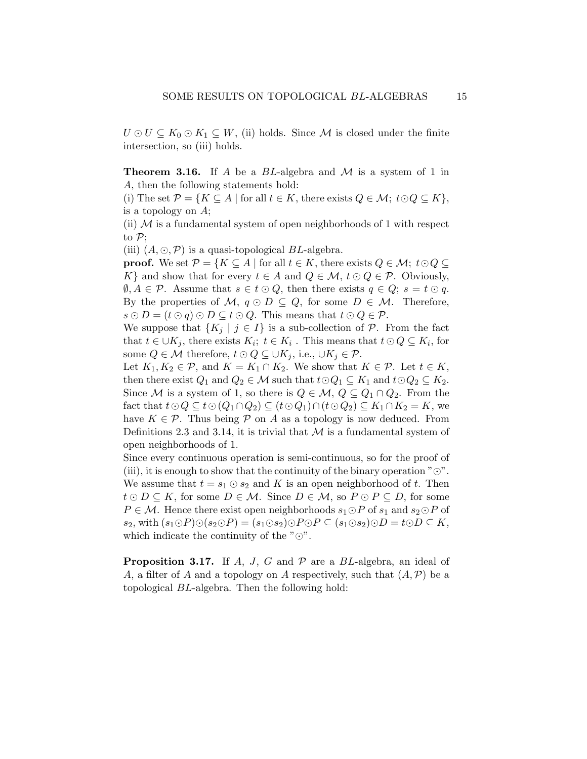$U \odot U \subseteq K_0 \odot K_1 \subseteq W$ , (ii) holds. Since M is closed under the finite intersection, so (iii) holds.

**Theorem 3.16.** If A be a  $BL$ -algebra and M is a system of 1 in A, then the following statements hold:

(i) The set  $\mathcal{P} = \{K \subseteq A \mid \text{for all } t \in K, \text{ there exists } Q \in \mathcal{M}; t \odot Q \subseteq K\},\$ is a topology on A;

(ii)  $M$  is a fundamental system of open neighborhoods of 1 with respect to  $\mathcal{P}$ ;

(iii)  $(A, \odot, \mathcal{P})$  is a quasi-topological BL-algebra.

**proof.** We set  $\mathcal{P} = \{K \subseteq A \mid \text{for all } t \in K, \text{ there exists } Q \in \mathcal{M}; t \odot Q \subseteq \mathcal{P} \}$ K} and show that for every  $t \in A$  and  $Q \in \mathcal{M}$ ,  $t \odot Q \in \mathcal{P}$ . Obviously,  $\emptyset, A \in \mathcal{P}$ . Assume that  $s \in t \odot Q$ , then there exists  $q \in Q$ ;  $s = t \odot q$ . By the properties of M,  $q \odot D \subseteq Q$ , for some  $D \in M$ . Therefore,  $s \odot D = (t \odot q) \odot D \subseteq t \odot Q$ . This means that  $t \odot Q \in \mathcal{P}$ .

We suppose that  $\{K_i \mid j \in I\}$  is a sub-collection of  $P$ . From the fact that  $t \in \bigcup K_j$ , there exists  $K_i$ ;  $t \in K_i$ . This means that  $t \odot Q \subseteq K_i$ , for some  $Q \in \mathcal{M}$  therefore,  $t \odot Q \subseteq \cup K_j$ , i.e.,  $\cup K_j \in \mathcal{P}$ .

Let  $K_1, K_2 \in \mathcal{P}$ , and  $K = K_1 \cap K_2$ . We show that  $K \in \mathcal{P}$ . Let  $t \in K$ , then there exist  $Q_1$  and  $Q_2 \in \mathcal{M}$  such that  $t \odot Q_1 \subseteq K_1$  and  $t \odot Q_2 \subseteq K_2$ . Since M is a system of 1, so there is  $Q \in \mathcal{M}$ ,  $Q \subseteq Q_1 \cap Q_2$ . From the fact that  $t\odot Q \subseteq t\odot (Q_1\cap Q_2) \subseteq (t\odot Q_1)\cap (t\odot Q_2) \subseteq K_1\cap K_2 = K$ , we have  $K \in \mathcal{P}$ . Thus being  $\mathcal P$  on A as a topology is now deduced. From Definitions 2.3 and 3.14, it is trivial that  $M$  is a fundamental system of open neighborhoods of 1.

Since every continuous operation is semi-continuous, so for the proof of (iii), it is enough to show that the continuity of the binary operation " $\odot$ ". We assume that  $t = s_1 \odot s_2$  and K is an open neighborhood of t. Then  $t \odot D \subseteq K$ , for some  $D \in \mathcal{M}$ . Since  $D \in \mathcal{M}$ , so  $P \odot P \subseteq D$ , for some  $P \in \mathcal{M}$ . Hence there exist open neighborhoods  $s_1 \odot P$  of  $s_1$  and  $s_2 \odot P$  of s<sub>2</sub>, with  $(s_1 \odot P) \odot (s_2 \odot P) = (s_1 \odot s_2) \odot P \odot P \subseteq (s_1 \odot s_2) \odot D = t \odot D \subseteq K$ , which indicate the continuity of the  $"\odot"$ .

**Proposition 3.17.** If A, J, G and  $\mathcal{P}$  are a BL-algebra, an ideal of A, a filter of A and a topology on A respectively, such that  $(A, \mathcal{P})$  be a topological BL-algebra. Then the following hold: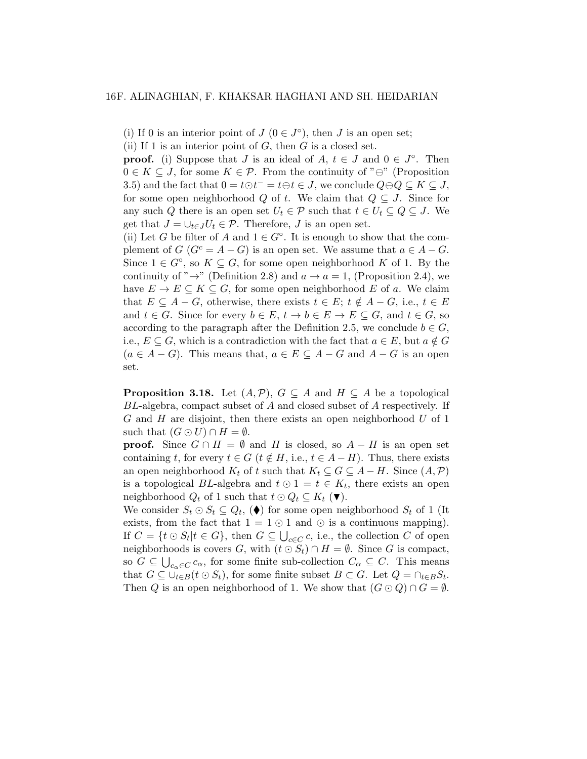(i) If 0 is an interior point of  $J(0 \in J^{\circ})$ , then  $J$  is an open set;

(ii) If 1 is an interior point of  $G$ , then  $G$  is a closed set.

**proof.** (i) Suppose that J is an ideal of  $A, t \in J$  and  $0 \in J^{\circ}$ . Then  $0 \in K \subseteq J$ , for some  $K \in \mathcal{P}$ . From the continuity of " $\ominus$ " (Proposition 3.5) and the fact that  $0 = t \odot t^- = t \ominus t \in J$ , we conclude  $Q \ominus Q \subseteq K \subseteq J$ , for some open neighborhood Q of t. We claim that  $Q \subseteq J$ . Since for any such Q there is an open set  $U_t \in \mathcal{P}$  such that  $t \in U_t \subseteq Q \subseteq J$ . We get that  $J = \bigcup_{t \in J} U_t \in \mathcal{P}$ . Therefore, J is an open set.

(ii) Let G be filter of A and  $1 \in G^{\circ}$ . It is enough to show that the complement of  $G(G^c = A - G)$  is an open set. We assume that  $a \in A - G$ . Since  $1 \in G^{\circ}$ , so  $K \subseteq G$ , for some open neighborhood K of 1. By the continuity of " $\rightarrow$ " (Definition 2.8) and  $a \rightarrow a = 1$ , (Proposition 2.4), we have  $E \to E \subseteq K \subseteq G$ , for some open neighborhood E of a. We claim that  $E \subseteq A - G$ , otherwise, there exists  $t \in E$ ;  $t \notin A - G$ , i.e.,  $t \in E$ and  $t \in G$ . Since for every  $b \in E$ ,  $t \to b \in E \to E \subseteq G$ , and  $t \in G$ , so according to the paragraph after the Definition 2.5, we conclude  $b \in G$ , i.e.,  $E \subseteq G$ , which is a contradiction with the fact that  $a \in E$ , but  $a \notin G$  $(a \in A - G)$ . This means that,  $a \in E \subseteq A - G$  and  $A - G$  is an open set.

**Proposition 3.18.** Let  $(A, \mathcal{P})$ ,  $G \subseteq A$  and  $H \subseteq A$  be a topological BL-algebra, compact subset of A and closed subset of A respectively. If  $G$  and  $H$  are disjoint, then there exists an open neighborhood  $U$  of 1 such that  $(G \odot U) \cap H = \emptyset$ .

**proof.** Since  $G \cap H = \emptyset$  and H is closed, so  $A - H$  is an open set containing t, for every  $t \in G$  ( $t \notin H$ , i.e.,  $t \in A - H$ ). Thus, there exists an open neighborhood  $K_t$  of t such that  $K_t \subseteq G \subseteq A - H$ . Since  $(A, \mathcal{P})$ is a topological BL-algebra and  $t \odot 1 = t \in K_t$ , there exists an open neighborhood  $Q_t$  of 1 such that  $t \odot Q_t \subseteq K_t$  ( $\blacktriangledown$ ).

We consider  $S_t \odot S_t \subseteq Q_t$ , ( $\blacklozenge$ ) for some open neighborhood  $S_t$  of 1 (It exists, from the fact that  $1 = 1 \odot 1$  and  $\odot$  is a continuous mapping). If  $C = \{t \odot S_t | t \in G\}$ , then  $G \subseteq \bigcup_{c \in C} c$ , i.e., the collection C of open neighborhoods is covers G, with  $(t \odot S_t) \cap H = \emptyset$ . Since G is compact, so  $G \subseteq \bigcup_{c_{\alpha} \in C} c_{\alpha}$ , for some finite sub-collection  $C_{\alpha} \subseteq C$ . This means that  $G \subseteq \bigcup_{t \in B} (t \odot S_t)$ , for some finite subset  $B \subset G$ . Let  $Q = \bigcap_{t \in B} S_t$ . Then Q is an open neighborhood of 1. We show that  $(G \odot Q) \cap G = \emptyset$ .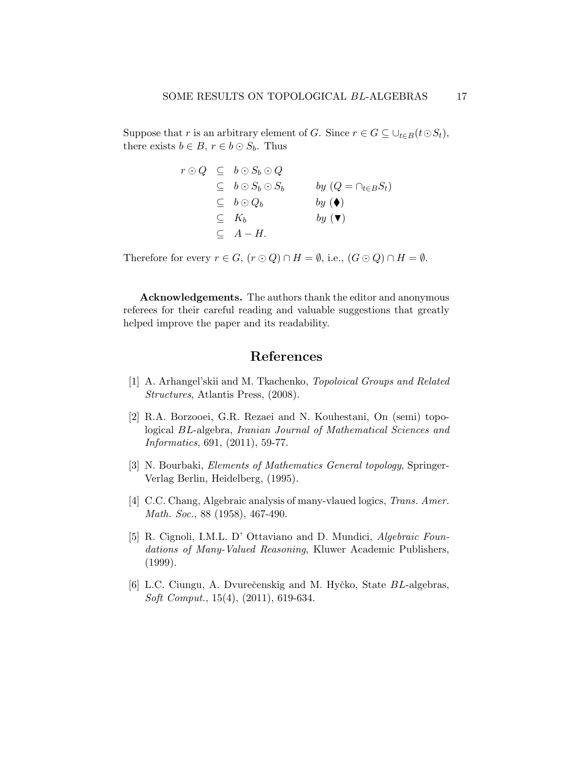Suppose that r is an arbitrary element of G. Since  $r \in G \subseteq \bigcup_{t \in B} (t \odot S_t)$ , there exists  $b \in B$ ,  $r \in b \odot S_b$ . Thus

$$
r \odot Q \subseteq b \odot S_b \odot Q
$$
  
\n
$$
\subseteq b \odot S_b \odot S_b \qquad by (Q = \cap_{t \in B} S_t)
$$
  
\n
$$
\subseteq b \odot Q_b \qquad by (\blacklozenge)
$$
  
\n
$$
\subseteq K_b \qquad by (\blacktriangledown)
$$
  
\n
$$
\subseteq A - H.
$$

Therefore for every  $r \in G$ ,  $(r \odot Q) \cap H = \emptyset$ , i.e.,  $(G \odot Q) \cap H = \emptyset$ .

Acknowledgements. The authors thank the editor and anonymous referees for their careful reading and valuable suggestions that greatly helped improve the paper and its readability.

# References

- [1] A. Arhangel'skii and M. Tkachenko, Topoloical Groups and Related Structures, Atlantis Press, (2008).
- [2] R.A. Borzooei, G.R. Rezaei and N. Kouhestani, On (semi) topological BL-algebra, Iranian Journal of Mathematical Sciences and Informatics, 691, (2011), 59-77.
- [3] N. Bourbaki, Elements of Mathematics General topology, Springer-Verlag Berlin, Heidelberg, (1995).
- [4] C.C. Chang, Algebraic analysis of many-vlaued logics, *Trans. Amer.* Math. Soc., 88 (1958), 467-490.
- [5] R. Cignoli, I.M.L. D' Ottaviano and D. Mundici, Algebraic Foundations of Many-Valued Reasoning, Kluwer Academic Publishers, (1999).
- [6] L.C. Ciungu, A. Dvurečenskig and M. Hyčko, State BL-algebras, Soft Comput., 15(4), (2011), 619-634.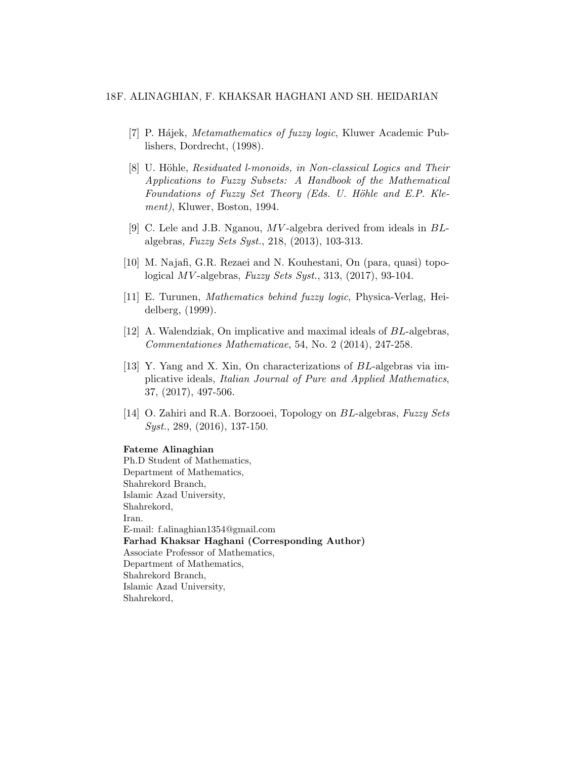- [7] P. Hájek, *Metamathematics of fuzzy logic*, Kluwer Academic Publishers, Dordrecht, (1998).
- [8] U. Höhle, Residuated l-monoids, in Non-classical Logics and Their Applications to Fuzzy Subsets: A Handbook of the Mathematical Foundations of Fuzzy Set Theory (Eds. U. Höhle and E.P. Klement), Kluwer, Boston, 1994.
- [9] C. Lele and J.B. Nganou, MV -algebra derived from ideals in BLalgebras, Fuzzy Sets Syst., 218, (2013), 103-313.
- [10] M. Najafi, G.R. Rezaei and N. Kouhestani, On (para, quasi) topological MV -algebras, Fuzzy Sets Syst., 313, (2017), 93-104.
- [11] E. Turunen, Mathematics behind fuzzy logic, Physica-Verlag, Heidelberg, (1999).
- [12] A. Walendziak, On implicative and maximal ideals of BL-algebras, Commentationes Mathematicae, 54, No. 2 (2014), 247-258.
- [13] Y. Yang and X. Xin, On characterizations of BL-algebras via implicative ideals, Italian Journal of Pure and Applied Mathematics, 37, (2017), 497-506.
- [14] O. Zahiri and R.A. Borzooei, Topology on BL-algebras, Fuzzy Sets Syst., 289, (2016), 137-150.

#### Fateme Alinaghian

Ph.D Student of Mathematics, Department of Mathematics, Shahrekord Branch, Islamic Azad University, Shahrekord, Iran. E-mail: f.alinaghian1354@gmail.com Farhad Khaksar Haghani (Corresponding Author) Associate Professor of Mathematics, Department of Mathematics, Shahrekord Branch, Islamic Azad University, Shahrekord,